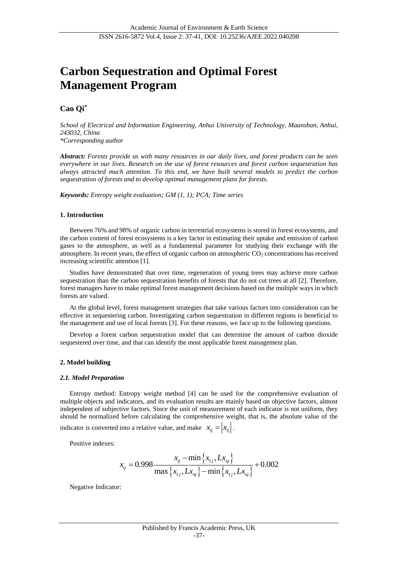# **Carbon Sequestration and Optimal Forest Management Program**

## **Cao Qi\***

*School of Electrical and Information Engineering, Anhui University of Technology, Maanshan, Anhui, 243032, China*

*\*Corresponding author*

*Abstract: Forests provide us with many resources in our daily lives, and forest products can be seen everywhere in our lives. Research on the use of forest resources and forest carbon sequestration has always attracted much attention. To this end, we have built several models to predict the carbon sequestration of forests and to develop optimal management plans for forests.*

*Keywords: Entropy weight evaluation; GM (1, 1); PCA; Time series*

## **1. Introduction**

Between 76% and 98% of organic carbon in terrestrial ecosystems is stored in forest ecosystems, and the carbon content of forest ecosystems is a key factor in estimating their uptake and emission of carbon gases to the atmosphere, as well as a fundamental parameter for studying their exchange with the atmosphere. In recent years, the effect of organic carbon on atmospheric  $CO<sub>2</sub>$  concentrations has received increasing scientific attention [1].

Studies have demonstrated that over time, regeneration of young trees may achieve more carbon sequestration than the carbon sequestration benefits of forests that do not cut trees at all [2]. Therefore, forest managers have to make optimal forest management decisions based on the multiple ways in which forests are valued.

At the global level, forest management strategies that take various factors into consideration can be effective in sequestering carbon. Investigating carbon sequestration in different regions is beneficial to the management and use of local forests [3]. For these reasons, we face up to the following questions.

Develop a forest carbon sequestration model that can determine the amount of carbon dioxide sequestered over time, and that can identify the most applicable forest management plan.

## **2. Model building**

#### *2.1. Model Preparation*

Entropy method: Entropy weight method [4] can be used for the comprehensive evaluation of multiple objects and indicators, and its evaluation results are mainly based on objective factors, almost independent of subjective factors. Since the unit of measurement of each indicator is not uniform, they should be normalized before calculating the comprehensive weight, that is, the absolute value of the indicator is converted into a relative value, and make  $x_{ij} = |x_{ij}|$ .

Positive indexes:

$$
x_{ij} = 0.998 \frac{x_{ij} - \min\left\{x_{1j}, Lx_{nj}\right\}}{\max\left\{x_{1j}, Lx_{nj}\right\} - \min\left\{x_{1j}, Lx_{nj}\right\}} + 0.002
$$

Negative Indicator: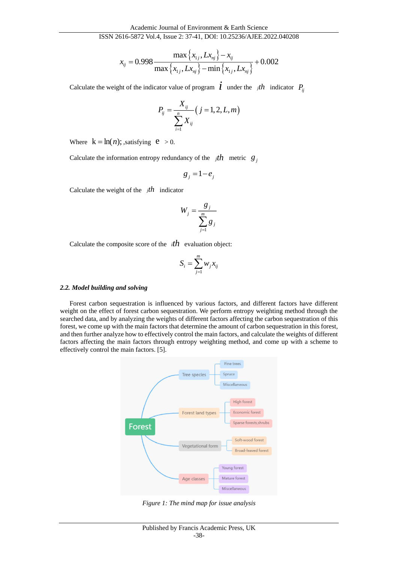## ISSN 2616-5872 Vol.4, Issue 2: 37-41, DOI: 10.25236/AJEE.2022.040208

$$
x_{ij} = 0.998 \frac{\max\left\{x_{1j}, Lx_{nj}\right\} - x_{ij}}{\max\left\{x_{1j}, Lx_{nj}\right\} - \min\left\{x_{1j}, Lx_{nj}\right\}} + 0.002
$$

Calculate the weight of the indicator value of program  $\vec{l}$  under the *j* $th$  indicator  $P_{ij}$ 

$$
P_{ij} = \frac{X_{ij}}{\sum_{i=1}^{n} X_{ij}} (j = 1, 2, L, m)
$$

Where  $k = ln(n)$ ; satisfying  $e > 0$ .

Calculate the information entropy redundancy of the  $jth$  metric  $g_j$ 

$$
g_j = 1 - e_j
$$

Calculate the weight of the *<sup>j</sup>th* indicator

$$
W_j = \frac{g_j}{\sum_{j=1}^m g_j}
$$

Calculate the composite score of the  $ith$  evaluation object:

$$
S_i = \sum_{j=1}^m w_j x_{ij}
$$

#### *2.2. Model building and solving*

Forest carbon sequestration is influenced by various factors, and different factors have different weight on the effect of forest carbon sequestration. We perform entropy weighting method through the searched data, and by analyzing the weights of different factors affecting the carbon sequestration of this forest, we come up with the main factors that determine the amount of carbon sequestration in this forest, and then further analyze how to effectively control the main factors, and calculate the weights of different factors affecting the main factors through entropy weighting method, and come up with a scheme to effectively control the main factors. [5].



*Figure 1: The mind map for issue analysis*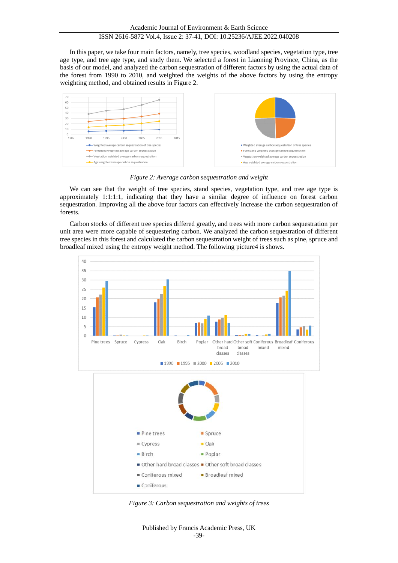In this paper, we take four main factors, namely, tree species, woodland species, vegetation type, tree age type, and tree age type, and study them. We selected a forest in Liaoning Province, China, as the basis of our model, and analyzed the carbon sequestration of different factors by using the actual data of the forest from 1990 to 2010, and weighted the weights of the above factors by using the entropy weighting method, and obtained results in Figure 2.



*Figure 2: Average carbon sequestration and weight*

We can see that the weight of tree species, stand species, vegetation type, and tree age type is approximately 1:1:1:1, indicating that they have a similar degree of influence on forest carbon sequestration. Improving all the above four factors can effectively increase the carbon sequestration of forests.

Carbon stocks of different tree species differed greatly, and trees with more carbon sequestration per unit area were more capable of sequestering carbon. We analyzed the carbon sequestration of different tree species in this forest and calculated the carbon sequestration weight of trees such as pine, spruce and broadleaf mixed using the entropy weight method. The following picture4 is shows.



*Figure 3: Carbon sequestration and weights of trees*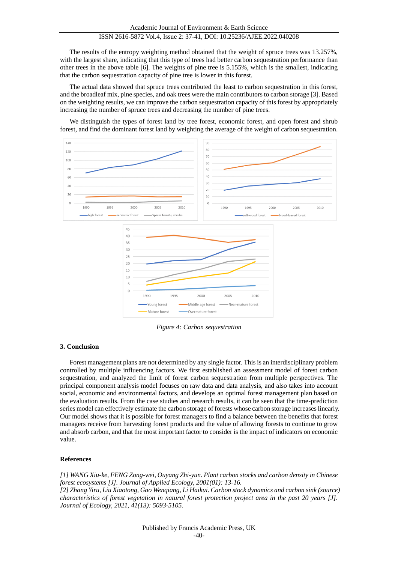The results of the entropy weighting method obtained that the weight of spruce trees was 13.257%, with the largest share, indicating that this type of trees had better carbon sequestration performance than other trees in the above table [6]. The weights of pine tree is 5.155%, which is the smallest, indicating that the carbon sequestration capacity of pine tree is lower in this forest.

The actual data showed that spruce trees contributed the least to carbon sequestration in this forest, and the broadleaf mix, pine species, and oak trees were the main contributors to carbon storage [3]. Based on the weighting results, we can improve the carbon sequestration capacity of this forest by appropriately increasing the number of spruce trees and decreasing the number of pine trees.

We distinguish the types of forest land by tree forest, economic forest, and open forest and shrub forest, and find the dominant forest land by weighting the average of the weight of carbon sequestration.



*Figure 4: Carbon sequestration*

## **3. Conclusion**

Forest management plans are not determined by any single factor. This is an interdisciplinary problem controlled by multiple influencing factors. We first established an assessment model of forest carbon sequestration, and analyzed the limit of forest carbon sequestration from multiple perspectives. The principal component analysis model focuses on raw data and data analysis, and also takes into account social, economic and environmental factors, and develops an optimal forest management plan based on the evaluation results. From the case studies and research results, it can be seen that the time-prediction series model can effectively estimate the carbon storage of forests whose carbon storage increases linearly. Our model shows that it is possible for forest managers to find a balance between the benefits that forest managers receive from harvesting forest products and the value of allowing forests to continue to grow and absorb carbon, and that the most important factor to consider is the impact of indicators on economic value.

## **References**

*[1] WANG Xiu-ke, FENG Zong-wei, Ouyang Zhi-yun. Plant carbon stocks and carbon density in Chinese forest ecosystems [J]. Journal of Applied Ecology, 2001(01): 13-16. [2] Zhang Yiru, Liu Xiaotong, Gao Wenqiang, Li Haikui. Carbon stock dynamics and carbon sink (source) characteristics of forest vegetation in natural forest protection project area in the past 20 years [J]. Journal of Ecology, 2021, 41(13): 5093-5105.*